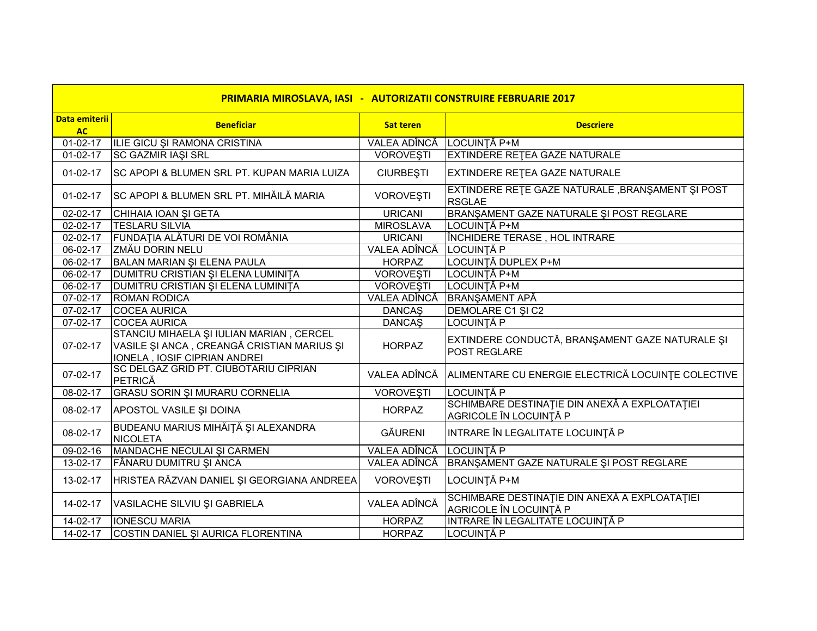| PRIMARIA MIROSLAVA, IASI - AUTORIZATII CONSTRUIRE FEBRUARIE 2017 |                                                                                                                        |                  |                                                                         |  |  |  |
|------------------------------------------------------------------|------------------------------------------------------------------------------------------------------------------------|------------------|-------------------------------------------------------------------------|--|--|--|
| <b>Data emiterii</b><br><b>AC</b>                                | <b>Beneficiar</b>                                                                                                      | <b>Sat teren</b> | <b>Descriere</b>                                                        |  |  |  |
| $01-02-17$                                                       | ILIE GICU ȘI RAMONA CRISTINA                                                                                           | VALEA ADÎNCĂ     | LOCUINȚĂ P+M                                                            |  |  |  |
| $01-02-17$                                                       | <b>SC GAZMIR IAŞI SRL</b>                                                                                              | <b>VOROVEȘTI</b> | <b>EXTINDERE RETEA GAZE NATURALE</b>                                    |  |  |  |
| $01-02-17$                                                       | <b>SC APOPI &amp; BLUMEN SRL PT. KUPAN MARIA LUIZA</b>                                                                 | <b>CIURBESTI</b> | <b>EXTINDERE RETEA GAZE NATURALE</b>                                    |  |  |  |
| $01-02-17$                                                       | SC APOPI & BLUMEN SRL PT. MIHĂILĂ MARIA                                                                                | <b>VOROVEŞTI</b> | EXTINDERE RETE GAZE NATURALE, BRANŞAMENT ŞI POST<br><b>RSGLAE</b>       |  |  |  |
| 02-02-17                                                         | CHIHAIA IOAN ȘI GETA                                                                                                   | <b>URICANI</b>   | BRANŞAMENT GAZE NATURALE ŞI POST REGLARE                                |  |  |  |
| 02-02-17                                                         | <b>TESLARU SILVIA</b>                                                                                                  | <b>MIROSLAVA</b> | LOCUINȚĂ P+M                                                            |  |  |  |
| 02-02-17                                                         | FUNDAȚIA ALĂTURI DE VOI ROMÂNIA                                                                                        | <b>URICANI</b>   | ÎNCHIDERE TERASE, HOL INTRARE                                           |  |  |  |
| 06-02-17                                                         | <b>ZMĂU DORIN NELU</b>                                                                                                 | VALEA ADÎNCĂ     | LOCUINȚĂ P                                                              |  |  |  |
| 06-02-17                                                         | BALAN MARIAN ȘI ELENA PAULA                                                                                            | <b>HORPAZ</b>    | LOCUINȚĂ DUPLEX P+M                                                     |  |  |  |
| 06-02-17                                                         | DUMITRU CRISTIAN ȘI ELENA LUMINIȚA                                                                                     | <b>VOROVESTI</b> | LOCUINȚĂ P+M                                                            |  |  |  |
| 06-02-17                                                         | DUMITRU CRISTIAN ȘI ELENA LUMINIȚA                                                                                     | <b>VOROVEŞTI</b> | LOCUINȚĂ P+M                                                            |  |  |  |
| 07-02-17                                                         | <b>ROMAN RODICA</b>                                                                                                    | VALEA ADÎNCĂ     | <b>BRANŞAMENT APĂ</b>                                                   |  |  |  |
| 07-02-17                                                         | <b>COCEA AURICA</b>                                                                                                    | <b>DANCAŞ</b>    | DEMOLARE C1 SI C2                                                       |  |  |  |
| 07-02-17                                                         | <b>COCEA AURICA</b>                                                                                                    | <b>DANCAŞ</b>    | <b>LOCUINȚĂ P</b>                                                       |  |  |  |
| 07-02-17                                                         | STANCIU MIHAELA ȘI IULIAN MARIAN, CERCEL<br>VASILE ȘI ANCA, CREANGĂ CRISTIAN MARIUS ȘI<br>IONELA, IOSIF CIPRIAN ANDREI | <b>HORPAZ</b>    | EXTINDERE CONDUCTĂ, BRANȘAMENT GAZE NATURALE ȘI<br><b>POST REGLARE</b>  |  |  |  |
| 07-02-17                                                         | SC DELGAZ GRID PT. CIUBOTARIU CIPRIAN<br>PETRICĂ                                                                       | VALEA ADÎNCĂ     | ALIMENTARE CU ENERGIE ELECTRICĂ LOCUINȚE COLECTIVE                      |  |  |  |
| 08-02-17                                                         | <b>GRASU SORIN ȘI MURARU CORNELIA</b>                                                                                  | <b>VOROVEŞTI</b> | <b>LOCUINȚĂ P</b>                                                       |  |  |  |
| 08-02-17                                                         | APOSTOL VASILE ȘI DOINA                                                                                                | <b>HORPAZ</b>    | SCHIMBARE DESTINAȚIE DIN ANEXĂ A EXPLOATAȚIEI<br>AGRICOLE ÎN LOCUINȚĂ P |  |  |  |
| 08-02-17                                                         | BUDEANU MARIUS MIHĂIȚĂ ȘI ALEXANDRA<br><b>NICOLETA</b>                                                                 | <b>GĂURENI</b>   | INTRARE ÎN LEGALITATE LOCUINȚĂ P                                        |  |  |  |
| 09-02-16                                                         | MANDACHE NECULAI ȘI CARMEN                                                                                             | VALEA ADÎNCĂ     | LOCUINTĂ P                                                              |  |  |  |
| 13-02-17                                                         | FÂNARU DUMITRU ȘI ANCA                                                                                                 | VALEA ADÎNCĂ     | BRANŞAMENT GAZE NATURALE ŞI POST REGLARE                                |  |  |  |
| 13-02-17                                                         | HRISTEA RĂZVAN DANIEL ȘI GEORGIANA ANDREEA                                                                             | <b>VOROVEȘTI</b> | LOCUINȚĂ P+M                                                            |  |  |  |
| 14-02-17                                                         | VASILACHE SILVIU ȘI GABRIELA                                                                                           | VALEA ADÎNCĂ     | SCHIMBARE DESTINAȚIE DIN ANEXĂ A EXPLOATAȚIEI<br>AGRICOLE ÎN LOCUINȚĂ P |  |  |  |
| 14-02-17                                                         | <b>IONESCU MARIA</b>                                                                                                   | <b>HORPAZ</b>    | INTRARE ÎN LEGALITATE LOCUINȚĂ P                                        |  |  |  |
| 14-02-17                                                         | COSTIN DANIEL ȘI AURICA FLORENTINA                                                                                     | <b>HORPAZ</b>    | LOCUINȚĂ P                                                              |  |  |  |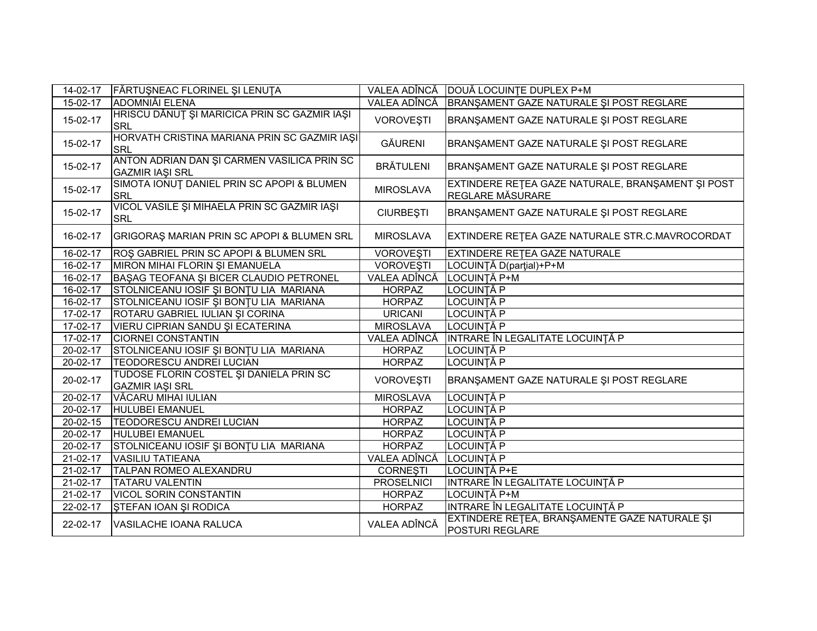| 14-02-17       | FĂRTUȘNEAC FLORINEL ȘI LENUȚA                                         |                   | VALEA ADÎNCĂ   DOUĂ LOCUINȚE DUPLEX P+M                               |
|----------------|-----------------------------------------------------------------------|-------------------|-----------------------------------------------------------------------|
| 15-02-17       | <b>ADOMNIĂI ELENA</b>                                                 | VALEA ADÎNCĂ      | BRANŞAMENT GAZE NATURALE ŞI POST REGLARE                              |
| 15-02-17       | HRISCU DĂNUȚ ȘI MARICICA PRIN SC GAZMIR IAȘI<br><b>SRL</b>            | <b>VOROVESTI</b>  | BRANSAMENT GAZE NATURALE SI POST REGLARE                              |
| 15-02-17       | HORVATH CRISTINA MARIANA PRIN SC GAZMIR IAȘI<br><b>SRL</b>            | <b>GĂURENI</b>    | BRANŞAMENT GAZE NATURALE ŞI POST REGLARE                              |
| 15-02-17       | ANTON ADRIAN DAN ŞI CARMEN VASILICA PRIN SC<br><b>GAZMIR IAŞI SRL</b> | <b>BRĂTULENI</b>  | BRANŞAMENT GAZE NATURALE ŞI POST REGLARE                              |
| 15-02-17       | SIMOTA IONUT DANIEL PRIN SC APOPI & BLUMEN<br><b>SRL</b>              | <b>MIROSLAVA</b>  | EXTINDERE REȚEA GAZE NATURALE, BRANȘAMENT ȘI POST<br>REGLARE MĂSURARE |
| 15-02-17       | VICOL VASILE ȘI MIHAELA PRIN SC GAZMIR IAȘI<br><b>SRL</b>             | <b>CIURBEȘTI</b>  | BRANŞAMENT GAZE NATURALE ŞI POST REGLARE                              |
| 16-02-17       | GRIGORAȘ MARIAN PRIN SC APOPI & BLUMEN SRL                            | <b>MIROSLAVA</b>  | EXTINDERE RETEA GAZE NATURALE STR.C.MAVROCORDAT                       |
| 16-02-17       | ROS GABRIEL PRIN SC APOPI & BLUMEN SRL                                | <b>VOROVEȘTI</b>  | EXTINDERE RETEA GAZE NATURALE                                         |
| 16-02-17       | MIRON MIHAI FLORIN ȘI EMANUELA                                        | <b>VOROVEŞTI</b>  | LOCUINȚĂ D(parțial)+P+M                                               |
| 16-02-17       | BAŞAG TEOFANA ŞI BICER CLAUDIO PETRONEL                               | VALEA ADÎNCĂ      | LOCUINȚĂ P+M                                                          |
| 16-02-17       | STOLNICEANU IOSIF ȘI BONȚU LIA MARIANA                                | <b>HORPAZ</b>     | LOCUINȚĂ P                                                            |
| 16-02-17       | STOLNICEANU IOSIF ȘI BONȚU LIA MARIANA                                | <b>HORPAZ</b>     | LOCUINȚĂ P                                                            |
| 17-02-17       | ROTARU GABRIEL IULIAN ȘI CORINA                                       | <b>URICANI</b>    | LOCUINȚĂ P                                                            |
| 17-02-17       | VIERU CIPRIAN SANDU ȘI ECATERINA                                      | <b>MIROSLAVA</b>  | LOCUINȚĂ P                                                            |
| 17-02-17       | <b>CIORNEI CONSTANTIN</b>                                             | VALEA ADÎNCĂ      | INTRARE ÎN LEGALITATE LOCUINȚĂ P                                      |
| 20-02-17       | STOLNICEANU IOSIF ȘI BONȚU LIA MARIANA                                | <b>HORPAZ</b>     | LOCUINȚĂ P                                                            |
| 20-02-17       | TEODORESCU ANDREI LUCIAN                                              | <b>HORPAZ</b>     | LOCUINȚĂ P                                                            |
| 20-02-17       | TUDOSE FLORIN COSTEL ȘI DANIELA PRIN SC<br><b>GAZMIR IAŞI SRL</b>     | VOROVEȘTI         | BRANŞAMENT GAZE NATURALE ŞI POST REGLARE                              |
| $20 - 02 - 17$ | VĂCARU MIHAI IULIAN                                                   | <b>MIROSLAVA</b>  | <b>LOCUINȚĂ P</b>                                                     |
| 20-02-17       | <b>HULUBEI EMANUEL</b>                                                | <b>HORPAZ</b>     | LOCUINȚĂ P                                                            |
| $20 - 02 - 15$ | <b>TEODORESCU ANDREI LUCIAN</b>                                       | <b>HORPAZ</b>     | LOCUINȚĂ P                                                            |
| $20 - 02 - 17$ | <b>HULUBEI EMANUEL</b>                                                | <b>HORPAZ</b>     | <b>LOCUINȚĂ P</b>                                                     |
| 20-02-17       | STOLNICEANU IOSIF ȘI BONȚU LIA MARIANA                                | <b>HORPAZ</b>     | LOCUINȚĂ P                                                            |
| 21-02-17       | <b>VASILIU TATIEANA</b>                                               | VALEA ADÎNCĂ      | LOCUINȚĂ P                                                            |
| 21-02-17       | TALPAN ROMEO ALEXANDRU                                                | <b>CORNEȘTI</b>   | LOCUINȚĂ P+E                                                          |
| 21-02-17       | <b>TATARU VALENTIN</b>                                                | <b>PROSELNICI</b> | INTRARE ÎN LEGALITATE LOCUINȚĂ P                                      |
| $21-02-17$     | <b>VICOL SORIN CONSTANTIN</b>                                         | <b>HORPAZ</b>     | LOCUINȚĂ P+M                                                          |
| 22-02-17       | ŞTEFAN IOAN ŞI RODICA                                                 | <b>HORPAZ</b>     | INTRARE ÎN LEGALITATE LOCUINȚĂ P                                      |
| 22-02-17       | <b>VASILACHE IOANA RALUCA</b>                                         | VALEA ADÎNCĂ      | EXTINDERE RETEA, BRANŞAMENTE GAZE NATURALE ŞI<br>POSTURI REGLARE      |